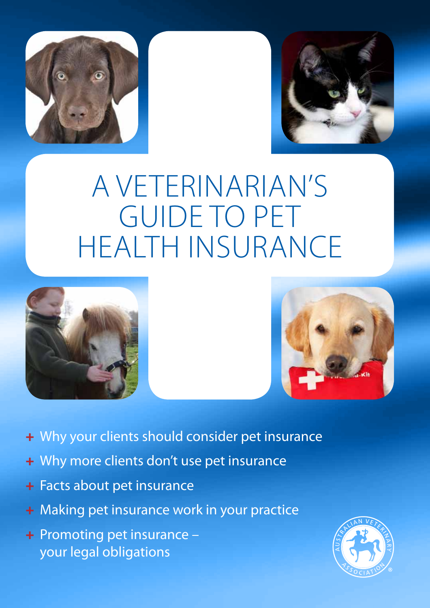



# A veterinarian's guide to pet health insurance





- + Why your clients should consider pet insurance
- + Why more clients don't use pet insurance
- + Facts about pet insurance
- + Making pet insurance work in your practice
- + Promoting pet insurance your legal obligations

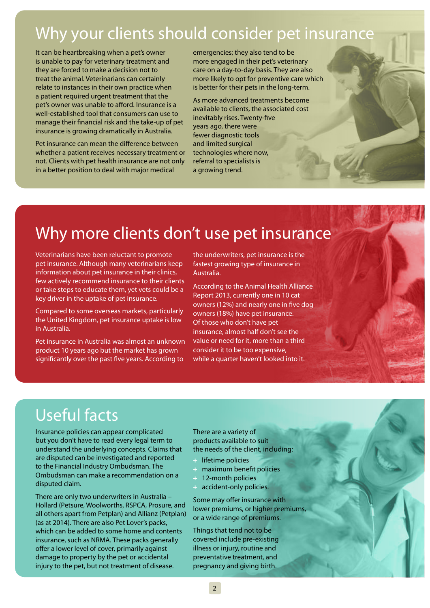# Why your clients should consider pet insurance

It can be heartbreaking when a pet's owner is unable to pay for veterinary treatment and they are forced to make a decision not to treat the animal. Veterinarians can certainly relate to instances in their own practice when a patient required urgent treatment that the pet's owner was unable to afford. Insurance is a well-established tool that consumers can use to manage their financial risk and the take-up of pet insurance is growing dramatically in Australia.

Pet insurance can mean the difference between whether a patient receives necessary treatment or not. Clients with pet health insurance are not only in a better position to deal with major medical

emergencies; they also tend to be more engaged in their pet's veterinary care on a day-to-day basis. They are also more likely to opt for preventive care which is better for their pets in the long-term.

As more advanced treatments become available to clients, the associated cost inevitably rises. Twenty-five years ago, there were fewer diagnostic tools and limited surgical technologies where now, referral to specialists is a growing trend.

## Why more clients don't use pet insurance

Veterinarians have been reluctant to promote pet insurance. Although many veterinarians keep information about pet insurance in their clinics, few actively recommend insurance to their clients or take steps to educate them, yet vets could be a key driver in the uptake of pet insurance.

Compared to some overseas markets, particularly the United Kingdom, pet insurance uptake is low in Australia.

Pet insurance in Australia was almost an unknown product 10 years ago but the market has grown significantly over the past five years. According to

the underwriters, pet insurance is the fastest growing type of insurance in Australia.

According to the Animal Health Alliance Report 2013, currently one in 10 cat owners (12%) and nearly one in five dog owners (18%) have pet insurance. Of those who don't have pet insurance, almost half don't see the value or need for it, more than a third consider it to be too expensive, while a quarter haven't looked into it.

# Useful facts

Insurance policies can appear complicated but you don't have to read every legal term to understand the underlying concepts. Claims that are disputed can be investigated and reported to the Financial Industry Ombudsman. The Ombudsman can make a recommendation on a disputed claim.

There are only two underwriters in Australia – Hollard (Petsure, Woolworths, RSPCA, Prosure, and all others apart from Petplan) and Allianz (Petplan) (as at 2014). There are also Pet Lover's packs, which can be added to some home and contents insurance, such as NRMA. These packs generally offer a lower level of cover, primarily against damage to property by the pet or accidental injury to the pet, but not treatment of disease.

There are a variety of products available to suit the needs of the client, including:

- **+** lifetime policies
- **+** maximum benefit policies
- **+** 12-month policies
- **+** accident-only policies.

Some may offer insurance with lower premiums, or higher premiums, or a wide range of premiums.

Things that tend not to be covered include pre-existing illness or injury, routine and preventative treatment, and pregnancy and giving birth.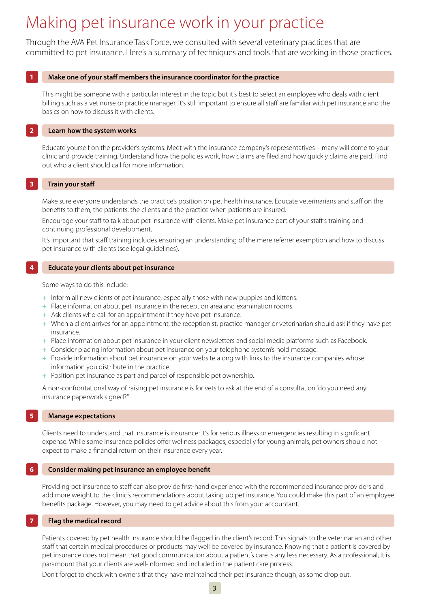## Making pet insurance work in your practice

Through the AVA Pet Insurance Task Force, we consulted with several veterinary practices that are committed to pet insurance. Here's a summary of techniques and tools that are working in those practices.

### **1 Make one of your staff members the insurance coordinator for the practice**

This might be someone with a particular interest in the topic but it's best to select an employee who deals with client billing such as a vet nurse or practice manager. It's still important to ensure all staff are familiar with pet insurance and the basics on how to discuss it with clients.

### **2 Learn how the system works**

Educate yourself on the provider's systems. Meet with the insurance company's representatives – many will come to your clinic and provide training. Understand how the policies work, how claims are filed and how quickly claims are paid. Find out who a client should call for more information.

### **3 Train your staff**

Make sure everyone understands the practice's position on pet health insurance. Educate veterinarians and staff on the benefits to them, the patients, the clients and the practice when patients are insured.

Encourage your staff to talk about pet insurance with clients. Make pet insurance part of your staff's training and continuing professional development.

It's important that staff training includes ensuring an understanding of the mere referrer exemption and how to discuss pet insurance with clients (see legal guidelines).

### **4 Educate your clients about pet insurance**

Some ways to do this include:

- **+** Inform all new clients of pet insurance, especially those with new puppies and kittens.
- **+** Place information about pet insurance in the reception area and examination rooms.
- **+** Ask clients who call for an appointment if they have pet insurance.
- **+** When a client arrives for an appointment, the receptionist, practice manager or veterinarian should ask if they have pet insurance.
- **+** Place information about pet insurance in your client newsletters and social media platforms such as Facebook.
- **+** Consider placing information about pet insurance on your telephone system's hold message.
- **+** Provide information about pet insurance on your website along with links to the insurance companies whose information you distribute in the practice.
- **+** Position pet insurance as part and parcel of responsible pet ownership.

A non-confrontational way of raising pet insurance is for vets to ask at the end of a consultation "do you need any insurance paperwork signed?"

### **5 Manage expectations**

Clients need to understand that insurance is insurance: it's for serious illness or emergencies resulting in significant expense. While some insurance policies offer wellness packages, especially for young animals, pet owners should not expect to make a financial return on their insurance every year.

### **6 Consider making pet insurance an employee benefit**

Providing pet insurance to staff can also provide first-hand experience with the recommended insurance providers and add more weight to the clinic's recommendations about taking up pet insurance. You could make this part of an employee benefits package. However, you may need to get advice about this from your accountant.

## **7 Flag the medical record**

Patients covered by pet health insurance should be flagged in the client's record. This signals to the veterinarian and other staff that certain medical procedures or products may well be covered by insurance. Knowing that a patient is covered by pet insurance does not mean that good communication about a patient's care is any less necessary. As a professional, it is paramount that your clients are well-informed and included in the patient care process.

Don't forget to check with owners that they have maintained their pet insurance though, as some drop out.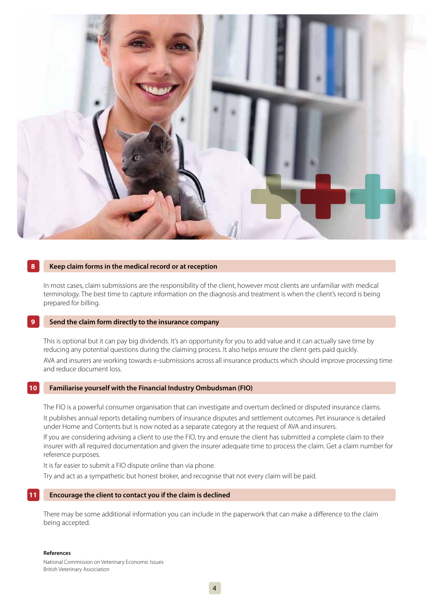

### **8 Keep claim forms in the medical record or at reception**

In most cases, claim submissions are the responsibility of the client, however most clients are unfamiliar with medical terminology. The best time to capture information on the diagnosis and treatment is when the client's record is being prepared for billing.

### **9 Send the claim form directly to the insurance company**

This is optional but it can pay big dividends. It's an opportunity for you to add value and it can actually save time by reducing any potential questions during the claiming process. It also helps ensure the client gets paid quickly. AVA and insurers are working towards e-submissions across all insurance products which should improve processing time and reduce document loss.

### **10 Familiarise yourself with the Financial Industry Ombudsman (FIO)**

The FIO is a powerful consumer organisation that can investigate and overturn declined or disputed insurance claims. It publishes annual reports detailing numbers of insurance disputes and settlement outcomes. Pet insurance is detailed under Home and Contents but is now noted as a separate category at the request of AVA and insurers.

If you are considering advising a client to use the FIO, try and ensure the client has submitted a complete claim to their insurer with all required documentation and given the insurer adequate time to process the claim. Get a claim number for reference purposes.

It is far easier to submit a FIO dispute online than via phone.

Try and act as a sympathetic but honest broker, and recognise that not every claim will be paid.

### **11 Encourage the client to contact you if the claim is declined**

There may be some additional information you can include in the paperwork that can make a difference to the claim being accepted.

**References** National Commission on Veterinary Economic Issues British Veterinary Association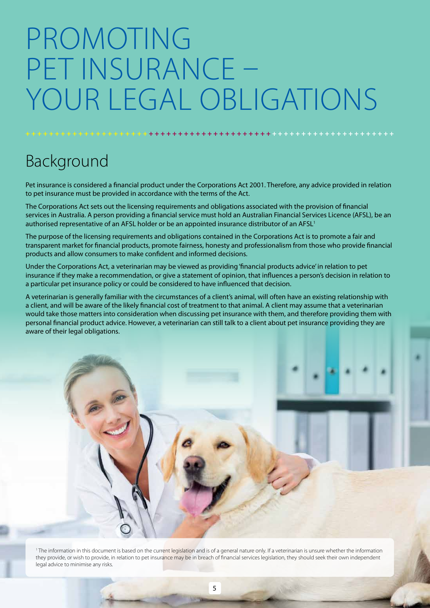# Promoting pet insurance – YOUR LEGAL OBLIGATIONS

# Background

Pet insurance is considered a financial product under the Corporations Act 2001. Therefore, any advice provided in relation to pet insurance must be provided in accordance with the terms of the Act.

**+ + + + + + + + + + + + + + + + + + + + + + + + + + + + + + + + + + + + + + + + + + + + + + + + + + + + + + + + + + + + + + +**

The Corporations Act sets out the licensing requirements and obligations associated with the provision of financial services in Australia. A person providing a financial service must hold an Australian Financial Services Licence (AFSL), be an authorised representative of an AFSL holder or be an appointed insurance distributor of an AFSL<sup>1</sup>

The purpose of the licensing requirements and obligations contained in the Corporations Act is to promote a fair and transparent market for financial products, promote fairness, honesty and professionalism from those who provide financial products and allow consumers to make confident and informed decisions.

Under the Corporations Act, a veterinarian may be viewed as providing 'financial products advice' in relation to pet insurance if they make a recommendation, or give a statement of opinion, that influences a person's decision in relation to a particular pet insurance policy or could be considered to have influenced that decision.

A veterinarian is generally familiar with the circumstances of a client's animal, will often have an existing relationship with a client, and will be aware of the likely financial cost of treatment to that animal. A client may assume that a veterinarian would take those matters into consideration when discussing pet insurance with them, and therefore providing them with personal financial product advice. However, a veterinarian can still talk to a client about pet insurance providing they are aware of their legal obligations.



<sup>1</sup> The information in this document is based on the current legislation and is of a general nature only. If a veterinarian is unsure whether the information they provide, or wish to provide, in relation to pet insurance may be in breach of financial services legislation, they should seek their own independent legal advice to minimise any risks.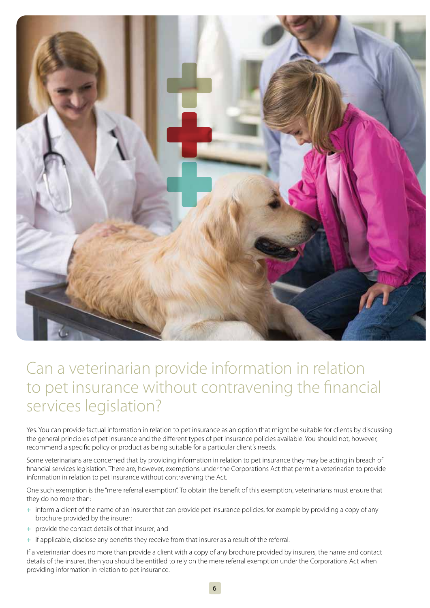

## Can a veterinarian provide information in relation to pet insurance without contravening the financial services legislation?

Yes. You can provide factual information in relation to pet insurance as an option that might be suitable for clients by discussing the general principles of pet insurance and the different types of pet insurance policies available. You should not, however, recommend a specific policy or product as being suitable for a particular client's needs.

Some veterinarians are concerned that by providing information in relation to pet insurance they may be acting in breach of financial services legislation. There are, however, exemptions under the Corporations Act that permit a veterinarian to provide information in relation to pet insurance without contravening the Act.

One such exemption is the "mere referral exemption". To obtain the benefit of this exemption, veterinarians must ensure that they do no more than:

- **+** inform a client of the name of an insurer that can provide pet insurance policies, for example by providing a copy of any brochure provided by the insurer;
- **+** provide the contact details of that insurer; and
- **+** if applicable, disclose any benefits they receive from that insurer as a result of the referral.

If a veterinarian does no more than provide a client with a copy of any brochure provided by insurers, the name and contact details of the insurer, then you should be entitled to rely on the mere referral exemption under the Corporations Act when providing information in relation to pet insurance.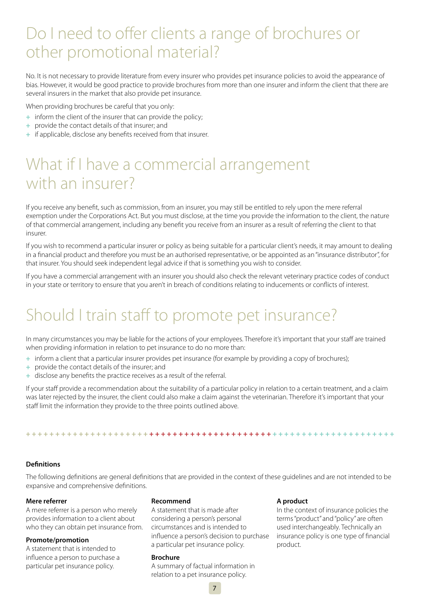# Do I need to offer clients a range of brochures or other promotional material?

No. It is not necessary to provide literature from every insurer who provides pet insurance policies to avoid the appearance of bias. However, it would be good practice to provide brochures from more than one insurer and inform the client that there are several insurers in the market that also provide pet insurance.

When providing brochures be careful that you only:

- **+** inform the client of the insurer that can provide the policy;
- **+** provide the contact details of that insurer; and
- **+** if applicable, disclose any benefits received from that insurer.

# What if I have a commercial arrangement with an insurer?

If you receive any benefit, such as commission, from an insurer, you may still be entitled to rely upon the mere referral exemption under the Corporations Act. But you must disclose, at the time you provide the information to the client, the nature of that commercial arrangement, including any benefit you receive from an insurer as a result of referring the client to that insurer.

If you wish to recommend a particular insurer or policy as being suitable for a particular client's needs, it may amount to dealing in a financial product and therefore you must be an authorised representative, or be appointed as an "insurance distributor", for that insurer. You should seek independent legal advice if that is something you wish to consider.

If you have a commercial arrangement with an insurer you should also check the relevant veterinary practice codes of conduct in your state or territory to ensure that you aren't in breach of conditions relating to inducements or conflicts of interest.

# Should I train staff to promote pet insurance?

In many circumstances you may be liable for the actions of your employees. Therefore it's important that your staff are trained when providing information in relation to pet insurance to do no more than:

- **+** inform a client that a particular insurer provides pet insurance (for example by providing a copy of brochures);
- **+** provide the contact details of the insurer; and
- **+** disclose any benefits the practice receives as a result of the referral.

If your staff provide a recommendation about the suitability of a particular policy in relation to a certain treatment, and a claim was later rejected by the insurer, the client could also make a claim against the veterinarian. Therefore it's important that your staff limit the information they provide to the three points outlined above.

**+ + + + + + + + + + + + + + + + + + + + + + + + + + + + + + + + + + + + + + + + + + + + + + + + + + + + + + + + + + + + + + +**

## **Definitions**

The following definitions are general definitions that are provided in the context of these guidelines and are not intended to be expansive and comprehensive definitions.

### **Mere referrer**

A mere referrer is a person who merely provides information to a client about who they can obtain pet insurance from.

## **Promote/promotion**

A statement that is intended to influence a person to purchase a particular pet insurance policy.

## **Recommend**

A statement that is made after considering a person's personal circumstances and is intended to influence a person's decision to purchase a particular pet insurance policy.

### **Brochure**

A summary of factual information in relation to a pet insurance policy.

## **A product**

In the context of insurance policies the terms "product" and "policy" are often used interchangeably. Technically an insurance policy is one type of financial product.